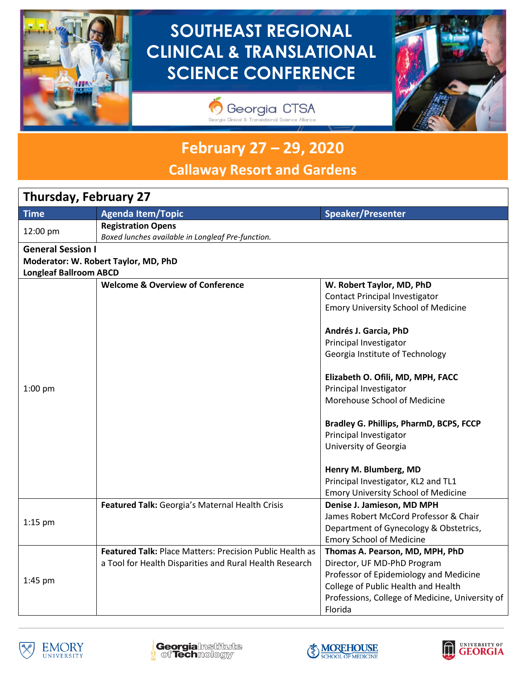

# **SOUTHEAST REGIONAL CLINICAL & TRANSLATIONAL SCIENCE CONFERENCE**





# **February 27 – 29, 2020 Callaway Resort and Gardens**

# **Thursday, February 27**

| <b>Time</b>                   | <b>Agenda Item/Topic</b>                                                       | Speaker/Presenter                               |
|-------------------------------|--------------------------------------------------------------------------------|-------------------------------------------------|
|                               |                                                                                |                                                 |
| 12:00 pm                      | <b>Registration Opens</b><br>Boxed lunches available in Longleaf Pre-function. |                                                 |
| <b>General Session I</b>      |                                                                                |                                                 |
|                               |                                                                                |                                                 |
|                               | Moderator: W. Robert Taylor, MD, PhD                                           |                                                 |
| <b>Longleaf Ballroom ABCD</b> |                                                                                |                                                 |
|                               | <b>Welcome &amp; Overview of Conference</b>                                    | W. Robert Taylor, MD, PhD                       |
|                               |                                                                                | <b>Contact Principal Investigator</b>           |
|                               |                                                                                | <b>Emory University School of Medicine</b>      |
|                               |                                                                                | Andrés J. Garcia, PhD                           |
|                               |                                                                                | Principal Investigator                          |
|                               |                                                                                | Georgia Institute of Technology                 |
|                               |                                                                                | Elizabeth O. Ofili, MD, MPH, FACC               |
| $1:00$ pm                     |                                                                                | Principal Investigator                          |
|                               |                                                                                | Morehouse School of Medicine                    |
|                               |                                                                                |                                                 |
|                               |                                                                                | Bradley G. Phillips, PharmD, BCPS, FCCP         |
|                               |                                                                                | Principal Investigator                          |
|                               |                                                                                | University of Georgia                           |
|                               |                                                                                | Henry M. Blumberg, MD                           |
|                               |                                                                                | Principal Investigator, KL2 and TL1             |
|                               |                                                                                | <b>Emory University School of Medicine</b>      |
|                               | Featured Talk: Georgia's Maternal Health Crisis                                | Denise J. Jamieson, MD MPH                      |
|                               |                                                                                | James Robert McCord Professor & Chair           |
| $1:15$ pm                     |                                                                                | Department of Gynecology & Obstetrics,          |
|                               |                                                                                | <b>Emory School of Medicine</b>                 |
| 1:45 pm                       | <b>Featured Talk: Place Matters: Precision Public Health as</b>                | Thomas A. Pearson, MD, MPH, PhD                 |
|                               | a Tool for Health Disparities and Rural Health Research                        | Director, UF MD-PhD Program                     |
|                               |                                                                                | Professor of Epidemiology and Medicine          |
|                               |                                                                                | College of Public Health and Health             |
|                               |                                                                                | Professions, College of Medicine, University of |
|                               |                                                                                | Florida                                         |







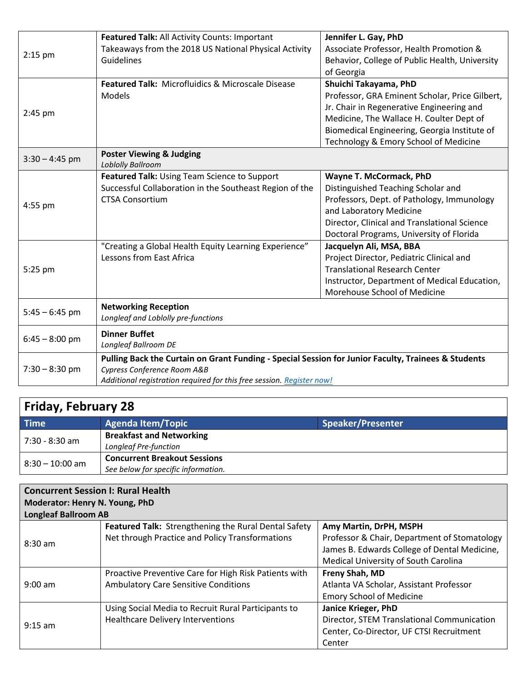|                  | Featured Talk: All Activity Counts: Important                                                       | Jennifer L. Gay, PhD                           |  |
|------------------|-----------------------------------------------------------------------------------------------------|------------------------------------------------|--|
| $2:15$ pm        | Takeaways from the 2018 US National Physical Activity                                               | Associate Professor, Health Promotion &        |  |
|                  | Guidelines                                                                                          | Behavior, College of Public Health, University |  |
|                  |                                                                                                     | of Georgia                                     |  |
|                  | Featured Talk: Microfluidics & Microscale Disease                                                   | Shuichi Takayama, PhD                          |  |
|                  | <b>Models</b>                                                                                       | Professor, GRA Eminent Scholar, Price Gilbert, |  |
|                  |                                                                                                     | Jr. Chair in Regenerative Engineering and      |  |
| $2:45$ pm        |                                                                                                     | Medicine, The Wallace H. Coulter Dept of       |  |
|                  |                                                                                                     | Biomedical Engineering, Georgia Institute of   |  |
|                  |                                                                                                     | Technology & Emory School of Medicine          |  |
| $3:30 - 4:45$ pm | <b>Poster Viewing &amp; Judging</b>                                                                 |                                                |  |
|                  | <b>Loblolly Ballroom</b>                                                                            |                                                |  |
|                  | Featured Talk: Using Team Science to Support                                                        | Wayne T. McCormack, PhD                        |  |
|                  | Successful Collaboration in the Southeast Region of the                                             | Distinguished Teaching Scholar and             |  |
| $4:55$ pm        | <b>CTSA Consortium</b>                                                                              | Professors, Dept. of Pathology, Immunology     |  |
|                  |                                                                                                     | and Laboratory Medicine                        |  |
|                  |                                                                                                     | Director, Clinical and Translational Science   |  |
|                  |                                                                                                     | Doctoral Programs, University of Florida       |  |
|                  | "Creating a Global Health Equity Learning Experience"                                               | Jacquelyn Ali, MSA, BBA                        |  |
|                  | Lessons from East Africa                                                                            | Project Director, Pediatric Clinical and       |  |
| 5:25 pm          |                                                                                                     | <b>Translational Research Center</b>           |  |
|                  |                                                                                                     | Instructor, Department of Medical Education,   |  |
|                  |                                                                                                     | Morehouse School of Medicine                   |  |
|                  | <b>Networking Reception</b>                                                                         |                                                |  |
| $5:45 - 6:45$ pm | Longleaf and Loblolly pre-functions                                                                 |                                                |  |
| $6:45 - 8:00$ pm | <b>Dinner Buffet</b>                                                                                |                                                |  |
|                  | Longleaf Ballroom DE                                                                                |                                                |  |
|                  | Pulling Back the Curtain on Grant Funding - Special Session for Junior Faculty, Trainees & Students |                                                |  |
| $7:30 - 8:30$ pm | Cypress Conference Room A&B                                                                         |                                                |  |
|                  | Additional registration required for this free session. Register now!                               |                                                |  |

## **Friday, February 28 Time Agenda Item/Topic CONSISTENTS Agenda Item/Topic Speaker/Presenter** 7:30 - 8:30 am **Breakfast and Networking** *Longleaf Pre-function* 8:30 – 10:00 am **Concurrent Breakout Sessions**

*See below for specific information.*

| <b>Concurrent Session I: Rural Health</b><br>Moderator: Henry N. Young, PhD |                                                                                                                |                                                                                                                                                                |
|-----------------------------------------------------------------------------|----------------------------------------------------------------------------------------------------------------|----------------------------------------------------------------------------------------------------------------------------------------------------------------|
| <b>Longleaf Ballroom AB</b>                                                 |                                                                                                                |                                                                                                                                                                |
| $8:30$ am                                                                   | <b>Featured Talk:</b> Strengthening the Rural Dental Safety<br>Net through Practice and Policy Transformations | Amy Martin, DrPH, MSPH<br>Professor & Chair, Department of Stomatology<br>James B. Edwards College of Dental Medicine,<br>Medical University of South Carolina |
| $9:00$ am                                                                   | Proactive Preventive Care for High Risk Patients with<br><b>Ambulatory Care Sensitive Conditions</b>           | Freny Shah, MD<br>Atlanta VA Scholar, Assistant Professor<br><b>Emory School of Medicine</b>                                                                   |
| $9:15$ am                                                                   | Using Social Media to Recruit Rural Participants to<br><b>Healthcare Delivery Interventions</b>                | Janice Krieger, PhD<br>Director, STEM Translational Communication<br>Center, Co-Director, UF CTSI Recruitment<br>Center                                        |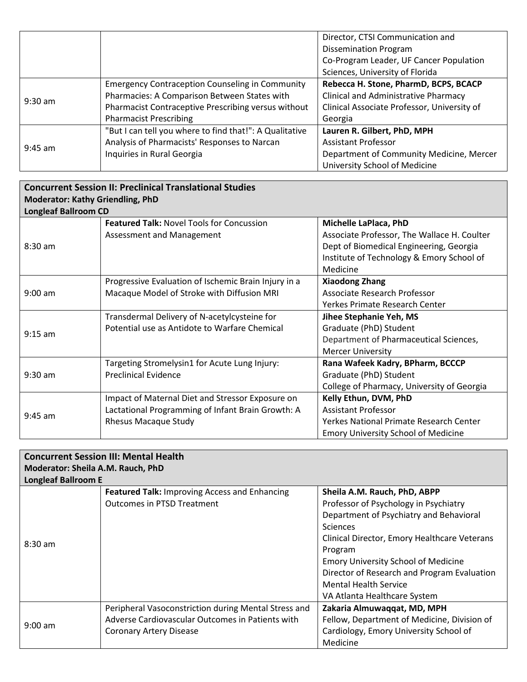|           |                                                         | Director, CTSI Communication and            |
|-----------|---------------------------------------------------------|---------------------------------------------|
|           |                                                         | <b>Dissemination Program</b>                |
|           |                                                         | Co-Program Leader, UF Cancer Population     |
|           |                                                         | Sciences, University of Florida             |
|           | <b>Emergency Contraception Counseling in Community</b>  | Rebecca H. Stone, PharmD, BCPS, BCACP       |
| $9:30$ am | Pharmacies: A Comparison Between States with            | <b>Clinical and Administrative Pharmacy</b> |
|           | Pharmacist Contraceptive Prescribing versus without     | Clinical Associate Professor, University of |
|           | <b>Pharmacist Prescribing</b>                           | Georgia                                     |
| $9:45$ am | "But I can tell you where to find that!": A Qualitative | Lauren R. Gilbert, PhD, MPH                 |
|           | Analysis of Pharmacists' Responses to Narcan            | <b>Assistant Professor</b>                  |
|           | Inquiries in Rural Georgia                              | Department of Community Medicine, Mercer    |
|           |                                                         | University School of Medicine               |

#### **Concurrent Session II: Preclinical Translational Studies Moderator: Kathy Griendling, PhD Longleaf Ballroom CD** 8:30 am **Featured Talk:** Novel Tools for Concussion Assessment and Management **Michelle LaPlaca, PhD** Associate Professor, The Wallace H. Coulter Dept of Biomedical Engineering, Georgia Institute of Technology & Emory School of Medicine 9:00 am Progressive Evaluation of Ischemic Brain Injury in a Macaque Model of Stroke with Diffusion MRI **Xiaodong Zhang** Associate Research Professor Yerkes Primate Research Center 9:15 am Transdermal Delivery of N-acetylcysteine for Potential use as Antidote to Warfare Chemical **Jihee Stephanie Yeh, MS** Graduate (PhD) Student Department of Pharmaceutical Sciences, Mercer University 9:30 am Targeting Stromelysin1 for Acute Lung Injury: Preclinical Evidence **Rana Wafeek Kadry, BPharm, BCCCP** Graduate (PhD) Student College of Pharmacy, University of Georgia 9:45 am Impact of Maternal Diet and Stressor Exposure on Lactational Programming of Infant Brain Growth: A Rhesus Macaque Study **Kelly Ethun, DVM, PhD** Assistant Professor Yerkes National Primate Research Center Emory University School of Medicine

| <b>Concurrent Session III: Mental Health</b> |                                                      |                                              |
|----------------------------------------------|------------------------------------------------------|----------------------------------------------|
| Moderator: Sheila A.M. Rauch, PhD            |                                                      |                                              |
| <b>Longleaf Ballroom E</b>                   |                                                      |                                              |
|                                              | <b>Featured Talk: Improving Access and Enhancing</b> | Sheila A.M. Rauch, PhD, ABPP                 |
|                                              | <b>Outcomes in PTSD Treatment</b>                    | Professor of Psychology in Psychiatry        |
|                                              |                                                      | Department of Psychiatry and Behavioral      |
|                                              |                                                      | Sciences                                     |
| $8:30$ am                                    |                                                      | Clinical Director, Emory Healthcare Veterans |
|                                              |                                                      | Program                                      |
|                                              |                                                      | <b>Emory University School of Medicine</b>   |
|                                              |                                                      | Director of Research and Program Evaluation  |
|                                              |                                                      | <b>Mental Health Service</b>                 |
|                                              |                                                      | VA Atlanta Healthcare System                 |
|                                              | Peripheral Vasoconstriction during Mental Stress and | Zakaria Almuwaqqat, MD, MPH                  |
| $9:00$ am                                    | Adverse Cardiovascular Outcomes in Patients with     | Fellow, Department of Medicine, Division of  |
|                                              | <b>Coronary Artery Disease</b>                       | Cardiology, Emory University School of       |
|                                              |                                                      | Medicine                                     |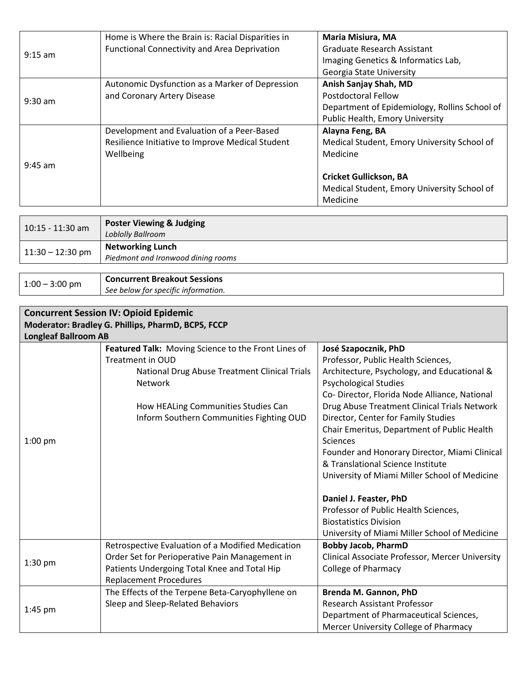|           | Home is Where the Brain is: Racial Disparities in | <b>Maria Misiura, MA</b>                      |
|-----------|---------------------------------------------------|-----------------------------------------------|
| $9:15$ am | Functional Connectivity and Area Deprivation      | <b>Graduate Research Assistant</b>            |
|           |                                                   | Imaging Genetics & Informatics Lab,           |
|           |                                                   | <b>Georgia State University</b>               |
|           | Autonomic Dysfunction as a Marker of Depression   | Anish Sanjay Shah, MD                         |
|           | and Coronary Artery Disease                       | <b>Postdoctoral Fellow</b>                    |
| $9:30$ am |                                                   | Department of Epidemiology, Rollins School of |
|           |                                                   | Public Health, Emory University               |
|           | Development and Evaluation of a Peer-Based        | Alayna Feng, BA                               |
|           | Resilience Initiative to Improve Medical Student  | Medical Student, Emory University School of   |
|           | Wellbeing                                         | Medicine                                      |
| $9:45$ am |                                                   |                                               |
|           |                                                   | <b>Cricket Gullickson, BA</b>                 |
|           |                                                   | Medical Student, Emory University School of   |
|           |                                                   | Medicine                                      |

| 10:15 - 11:30 am   | <b>Poster Viewing &amp; Judging</b><br><b>Loblolly Ballroom</b> |
|--------------------|-----------------------------------------------------------------|
| $11:30 - 12:30$ pm | <b>Networking Lunch</b><br>Piedmont and Ironwood dining rooms   |
|                    | $\sim$ $\sim$ $\sim$ $\sim$ $\sim$ $\sim$ $\sim$                |

| $1:00 - 3:00$ pm | <b>Concurrent Breakout Sessions</b> |
|------------------|-------------------------------------|
|                  | See below for specific information. |

| <b>Concurrent Session IV: Opioid Epidemic</b><br>Moderator: Bradley G. Phillips, PharmD, BCPS, FCCP |                                                     |                                                 |
|-----------------------------------------------------------------------------------------------------|-----------------------------------------------------|-------------------------------------------------|
| <b>Longleaf Ballroom AB</b>                                                                         |                                                     |                                                 |
|                                                                                                     | Featured Talk: Moving Science to the Front Lines of | José Szapocznik, PhD                            |
|                                                                                                     | <b>Treatment in OUD</b>                             | Professor, Public Health Sciences,              |
|                                                                                                     | National Drug Abuse Treatment Clinical Trials       | Architecture, Psychology, and Educational &     |
|                                                                                                     | Network                                             | <b>Psychological Studies</b>                    |
|                                                                                                     |                                                     | Co- Director, Florida Node Alliance, National   |
|                                                                                                     | How HEALing Communities Studies Can                 | Drug Abuse Treatment Clinical Trials Network    |
|                                                                                                     | Inform Southern Communities Fighting OUD            | Director, Center for Family Studies             |
|                                                                                                     |                                                     | Chair Emeritus, Department of Public Health     |
| $1:00$ pm                                                                                           |                                                     | <b>Sciences</b>                                 |
|                                                                                                     |                                                     | Founder and Honorary Director, Miami Clinical   |
|                                                                                                     |                                                     | & Translational Science Institute               |
|                                                                                                     |                                                     | University of Miami Miller School of Medicine   |
|                                                                                                     |                                                     | Daniel J. Feaster, PhD                          |
|                                                                                                     |                                                     | Professor of Public Health Sciences,            |
|                                                                                                     |                                                     | <b>Biostatistics Division</b>                   |
|                                                                                                     |                                                     | University of Miami Miller School of Medicine   |
|                                                                                                     | Retrospective Evaluation of a Modified Medication   | <b>Bobby Jacob, PharmD</b>                      |
| $1:30$ pm                                                                                           | Order Set for Perioperative Pain Management in      | Clinical Associate Professor, Mercer University |
|                                                                                                     | Patients Undergoing Total Knee and Total Hip        | <b>College of Pharmacy</b>                      |
|                                                                                                     | <b>Replacement Procedures</b>                       |                                                 |
| $1:45$ pm                                                                                           | The Effects of the Terpene Beta-Caryophyllene on    | Brenda M. Gannon, PhD                           |
|                                                                                                     | Sleep and Sleep-Related Behaviors                   | <b>Research Assistant Professor</b>             |
|                                                                                                     |                                                     | Department of Pharmaceutical Sciences,          |
|                                                                                                     |                                                     | Mercer University College of Pharmacy           |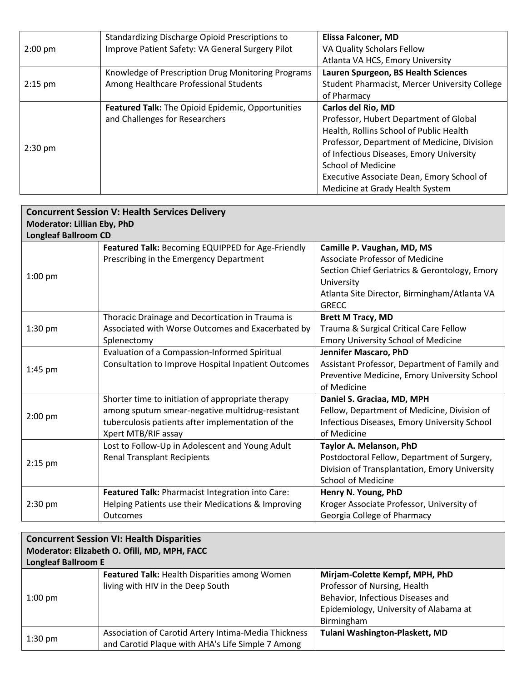|           | Standardizing Discharge Opioid Prescriptions to    | <b>Elissa Falconer, MD</b>                    |
|-----------|----------------------------------------------------|-----------------------------------------------|
| $2:00$ pm | Improve Patient Safety: VA General Surgery Pilot   | VA Quality Scholars Fellow                    |
|           |                                                    | Atlanta VA HCS, Emory University              |
|           | Knowledge of Prescription Drug Monitoring Programs | Lauren Spurgeon, BS Health Sciences           |
| $2:15$ pm | Among Healthcare Professional Students             | Student Pharmacist, Mercer University College |
|           |                                                    | of Pharmacy                                   |
|           | Featured Talk: The Opioid Epidemic, Opportunities  | Carlos del Rio, MD                            |
|           | and Challenges for Researchers                     | Professor, Hubert Department of Global        |
| $2:30$ pm |                                                    | Health, Rollins School of Public Health       |
|           |                                                    | Professor, Department of Medicine, Division   |
|           |                                                    | of Infectious Diseases, Emory University      |
|           |                                                    | <b>School of Medicine</b>                     |
|           |                                                    | Executive Associate Dean, Emory School of     |
|           |                                                    | Medicine at Grady Health System               |

| <b>Concurrent Session V: Health Services Delivery</b> |                                                            |                                               |
|-------------------------------------------------------|------------------------------------------------------------|-----------------------------------------------|
| <b>Moderator: Lillian Eby, PhD</b>                    |                                                            |                                               |
| <b>Longleaf Ballroom CD</b>                           |                                                            |                                               |
|                                                       | Featured Talk: Becoming EQUIPPED for Age-Friendly          | Camille P. Vaughan, MD, MS                    |
|                                                       | Prescribing in the Emergency Department                    | <b>Associate Professor of Medicine</b>        |
| $1:00$ pm                                             |                                                            | Section Chief Geriatrics & Gerontology, Emory |
|                                                       |                                                            | University                                    |
|                                                       |                                                            | Atlanta Site Director, Birmingham/Atlanta VA  |
|                                                       |                                                            | <b>GRECC</b>                                  |
|                                                       | Thoracic Drainage and Decortication in Trauma is           | <b>Brett M Tracy, MD</b>                      |
| $1:30$ pm                                             | Associated with Worse Outcomes and Exacerbated by          | Trauma & Surgical Critical Care Fellow        |
|                                                       | Splenectomy                                                | <b>Emory University School of Medicine</b>    |
|                                                       | Evaluation of a Compassion-Informed Spiritual              | Jennifer Mascaro, PhD                         |
| 1:45 pm                                               | <b>Consultation to Improve Hospital Inpatient Outcomes</b> | Assistant Professor, Department of Family and |
|                                                       |                                                            | Preventive Medicine, Emory University School  |
|                                                       |                                                            | of Medicine                                   |
|                                                       | Shorter time to initiation of appropriate therapy          | Daniel S. Graciaa, MD, MPH                    |
| $2:00$ pm                                             | among sputum smear-negative multidrug-resistant            | Fellow, Department of Medicine, Division of   |
|                                                       | tuberculosis patients after implementation of the          | Infectious Diseases, Emory University School  |
|                                                       | Xpert MTB/RIF assay                                        | of Medicine                                   |
|                                                       | Lost to Follow-Up in Adolescent and Young Adult            | Taylor A. Melanson, PhD                       |
| $2:15$ pm                                             | <b>Renal Transplant Recipients</b>                         | Postdoctoral Fellow, Department of Surgery,   |
|                                                       |                                                            | Division of Transplantation, Emory University |
|                                                       |                                                            | <b>School of Medicine</b>                     |
|                                                       | Featured Talk: Pharmacist Integration into Care:           | Henry N. Young, PhD                           |
| $2:30$ pm                                             | Helping Patients use their Medications & Improving         | Kroger Associate Professor, University of     |
|                                                       | Outcomes                                                   | Georgia College of Pharmacy                   |

| <b>Concurrent Session VI: Health Disparities</b> |                                                      |                                        |
|--------------------------------------------------|------------------------------------------------------|----------------------------------------|
| Moderator: Elizabeth O. Ofili, MD, MPH, FACC     |                                                      |                                        |
| <b>Longleaf Ballroom E</b>                       |                                                      |                                        |
|                                                  | <b>Featured Talk: Health Disparities among Women</b> | Mirjam-Colette Kempf, MPH, PhD         |
|                                                  | living with HIV in the Deep South                    | Professor of Nursing, Health           |
| $1:00$ pm                                        |                                                      | Behavior, Infectious Diseases and      |
|                                                  |                                                      | Epidemiology, University of Alabama at |
|                                                  |                                                      | Birmingham                             |
| $1:30$ pm                                        | Association of Carotid Artery Intima-Media Thickness | Tulani Washington-Plaskett, MD         |
|                                                  | and Carotid Plaque with AHA's Life Simple 7 Among    |                                        |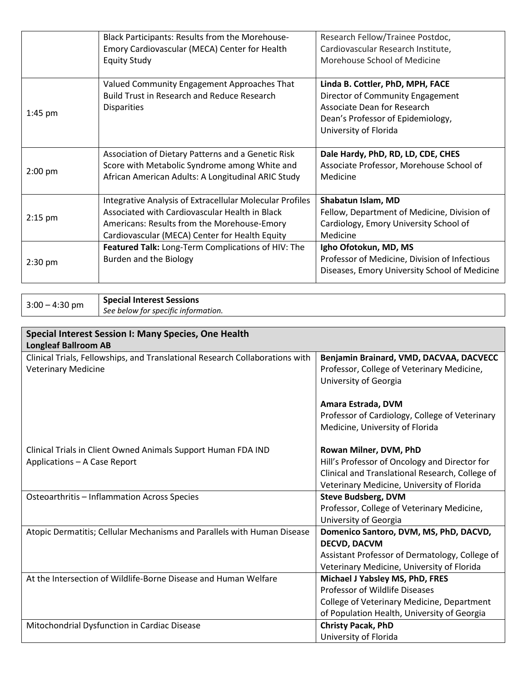|           | Black Participants: Results from the Morehouse-          | Research Fellow/Trainee Postdoc,              |
|-----------|----------------------------------------------------------|-----------------------------------------------|
|           | Emory Cardiovascular (MECA) Center for Health            | Cardiovascular Research Institute,            |
|           | <b>Equity Study</b>                                      | Morehouse School of Medicine                  |
|           |                                                          |                                               |
|           | Valued Community Engagement Approaches That              | Linda B. Cottler, PhD, MPH, FACE              |
|           | <b>Build Trust in Research and Reduce Research</b>       | Director of Community Engagement              |
| $1:45$ pm | <b>Disparities</b>                                       | Associate Dean for Research                   |
|           |                                                          | Dean's Professor of Epidemiology,             |
|           |                                                          | University of Florida                         |
|           |                                                          |                                               |
|           | Association of Dietary Patterns and a Genetic Risk       | Dale Hardy, PhD, RD, LD, CDE, CHES            |
| $2:00$ pm | Score with Metabolic Syndrome among White and            | Associate Professor, Morehouse School of      |
|           | African American Adults: A Longitudinal ARIC Study       | Medicine                                      |
|           |                                                          |                                               |
|           | Integrative Analysis of Extracellular Molecular Profiles | Shabatun Islam, MD                            |
|           | Associated with Cardiovascular Health in Black           | Fellow, Department of Medicine, Division of   |
| $2:15$ pm | Americans: Results from the Morehouse-Emory              | Cardiology, Emory University School of        |
|           | Cardiovascular (MECA) Center for Health Equity           | Medicine                                      |
|           | Featured Talk: Long-Term Complications of HIV: The       | Igho Ofotokun, MD, MS                         |
| $2:30$ pm | Burden and the Biology                                   | Professor of Medicine, Division of Infectious |
|           |                                                          | Diseases, Emory University School of Medicine |
|           |                                                          |                                               |

3:00 – 4:30 pm **Special Interest Sessions** *See below for specific information.*

| Special Interest Session I: Many Species, One Health                         |                                                 |  |
|------------------------------------------------------------------------------|-------------------------------------------------|--|
| <b>Longleaf Ballroom AB</b>                                                  |                                                 |  |
| Clinical Trials, Fellowships, and Translational Research Collaborations with | Benjamin Brainard, VMD, DACVAA, DACVECC         |  |
| <b>Veterinary Medicine</b>                                                   | Professor, College of Veterinary Medicine,      |  |
|                                                                              | University of Georgia                           |  |
|                                                                              |                                                 |  |
|                                                                              | Amara Estrada, DVM                              |  |
|                                                                              | Professor of Cardiology, College of Veterinary  |  |
|                                                                              | Medicine, University of Florida                 |  |
|                                                                              |                                                 |  |
| Clinical Trials in Client Owned Animals Support Human FDA IND                | Rowan Milner, DVM, PhD                          |  |
| Applications - A Case Report                                                 | Hill's Professor of Oncology and Director for   |  |
|                                                                              | Clinical and Translational Research, College of |  |
|                                                                              | Veterinary Medicine, University of Florida      |  |
| Osteoarthritis - Inflammation Across Species                                 | <b>Steve Budsberg, DVM</b>                      |  |
|                                                                              | Professor, College of Veterinary Medicine,      |  |
|                                                                              | University of Georgia                           |  |
| Atopic Dermatitis; Cellular Mechanisms and Parallels with Human Disease      | Domenico Santoro, DVM, MS, PhD, DACVD,          |  |
|                                                                              | <b>DECVD, DACVM</b>                             |  |
|                                                                              | Assistant Professor of Dermatology, College of  |  |
|                                                                              | Veterinary Medicine, University of Florida      |  |
| At the Intersection of Wildlife-Borne Disease and Human Welfare              | Michael J Yabsley MS, PhD, FRES                 |  |
|                                                                              | Professor of Wildlife Diseases                  |  |
|                                                                              | College of Veterinary Medicine, Department      |  |
|                                                                              | of Population Health, University of Georgia     |  |
| Mitochondrial Dysfunction in Cardiac Disease                                 | <b>Christy Pacak, PhD</b>                       |  |
|                                                                              | University of Florida                           |  |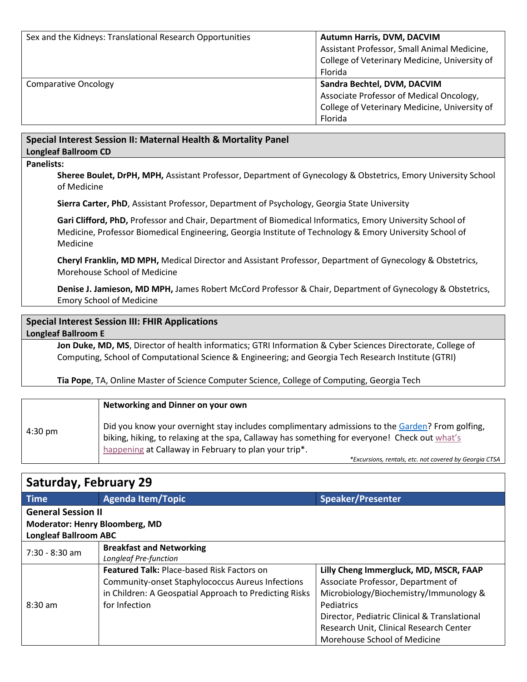| Sex and the Kidneys: Translational Research Opportunities | Autumn Harris, DVM, DACVIM<br>Assistant Professor, Small Animal Medicine,<br>College of Veterinary Medicine, University of |
|-----------------------------------------------------------|----------------------------------------------------------------------------------------------------------------------------|
|                                                           | Florida                                                                                                                    |
| Comparative Oncology                                      | Sandra Bechtel, DVM, DACVIM                                                                                                |
|                                                           | Associate Professor of Medical Oncology,                                                                                   |
|                                                           | College of Veterinary Medicine, University of                                                                              |
|                                                           | Florida                                                                                                                    |

## **Special Interest Session II: Maternal Health & Mortality Panel**

**Longleaf Ballroom CD**

### **Panelists:**

**Sheree Boulet, DrPH, MPH,** Assistant Professor, Department of Gynecology & Obstetrics, Emory University School of Medicine

**Sierra Carter, PhD**, Assistant Professor, Department of Psychology, Georgia State University

**Gari Clifford, PhD,** Professor and Chair, Department of Biomedical Informatics, Emory University School of Medicine, Professor Biomedical Engineering, Georgia Institute of Technology & Emory University School of Medicine

**Cheryl Franklin, MD MPH,** Medical Director and Assistant Professor, Department of Gynecology & Obstetrics, Morehouse School of Medicine

**Denise J. Jamieson, MD MPH,** James Robert McCord Professor & Chair, Department of Gynecology & Obstetrics, Emory School of Medicine

### **Special Interest Session III: FHIR Applications Longleaf Ballroom E**

**Jon Duke, MD, MS**, Director of health informatics; GTRI Information & Cyber Sciences Directorate, College of Computing, School of Computational Science & Engineering; and Georgia Tech Research Institute (GTRI)

**Tia Pope**, TA, Online Master of Science Computer Science, College of Computing, Georgia Tech

|         | Networking and Dinner on your own                                                                                                                                                                                                                         |
|---------|-----------------------------------------------------------------------------------------------------------------------------------------------------------------------------------------------------------------------------------------------------------|
| 4:30 pm | Did you know your overnight stay includes complimentary admissions to the Garden? From golfing,<br>biking, hiking, to relaxing at the spa, Callaway has something for everyone! Check out what's<br>happening at Callaway in February to plan your trip*. |

*\*Excursions, rentals, etc. not covered by Georgia CTSA*

# **Saturday, February 29**

| <b>Time</b>                           | <b>Agenda Item/Topic</b>                                | <b>Speaker/Presenter</b>                     |  |  |
|---------------------------------------|---------------------------------------------------------|----------------------------------------------|--|--|
| <b>General Session II</b>             |                                                         |                                              |  |  |
| <b>Moderator: Henry Bloomberg, MD</b> |                                                         |                                              |  |  |
| <b>Longleaf Ballroom ABC</b>          |                                                         |                                              |  |  |
| $7:30 - 8:30$ am                      | <b>Breakfast and Networking</b>                         |                                              |  |  |
|                                       | Longleaf Pre-function                                   |                                              |  |  |
| $8:30 \text{ am}$                     | <b>Featured Talk: Place-based Risk Factors on</b>       | Lilly Cheng Immergluck, MD, MSCR, FAAP       |  |  |
|                                       | <b>Community-onset Staphylococcus Aureus Infections</b> | Associate Professor, Department of           |  |  |
|                                       | in Children: A Geospatial Approach to Predicting Risks  | Microbiology/Biochemistry/Immunology &       |  |  |
|                                       | for Infection                                           | Pediatrics                                   |  |  |
|                                       |                                                         | Director, Pediatric Clinical & Translational |  |  |
|                                       |                                                         | Research Unit, Clinical Research Center      |  |  |
|                                       |                                                         | Morehouse School of Medicine                 |  |  |